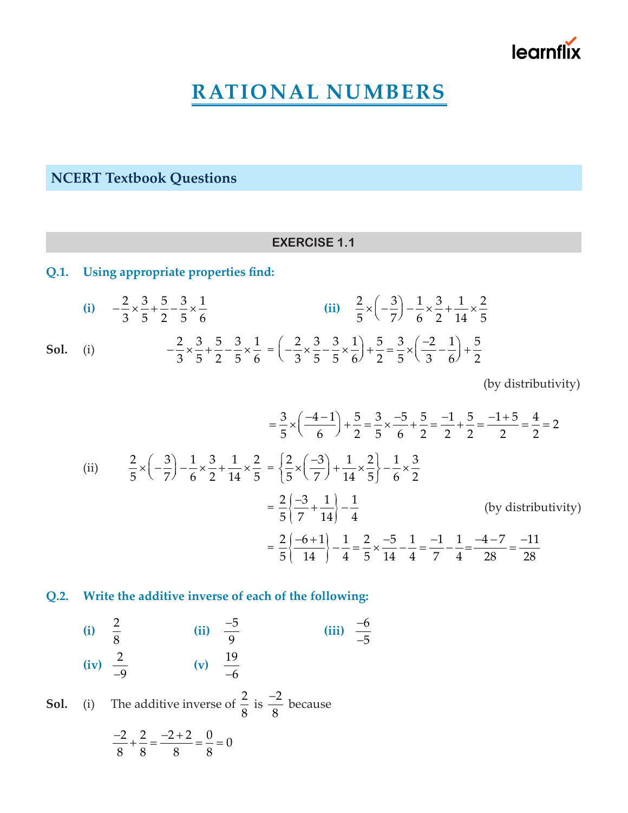# learnflix

## **RATIONAL NUMBERS**

**NCERT Textbook Questions**

#### **EXERCISE 1.1**

### **Q.1. Using appropriate properties find:**

(i) 
$$
-\frac{2}{3} \times \frac{3}{5} + \frac{5}{2} - \frac{3}{5} \times \frac{1}{6}
$$
  
\n(ii)  $\frac{2}{5} \times \left(-\frac{3}{7}\right) - \frac{1}{6} \times \frac{3}{2} + \frac{1}{14} \times \frac{2}{5}$   
\nSo1. (i)  $-\frac{2}{3} \times \frac{3}{5} + \frac{5}{2} - \frac{3}{5} \times \frac{1}{6} = \left(-\frac{2}{3} \times \frac{3}{5} - \frac{3}{5} \times \frac{1}{6}\right) + \frac{5}{2} = \frac{3}{5} \times \left(\frac{-2}{3} - \frac{1}{6}\right) + \frac{5}{2}$ 

(by distributivity)

$$
= \frac{3}{5} \times \left(\frac{-4-1}{6}\right) + \frac{5}{2} = \frac{3}{5} \times \frac{-5}{6} + \frac{5}{2} = \frac{-1}{2} + \frac{5}{2} = \frac{-1+5}{2} = \frac{4}{2} = 2
$$
\n(ii) 
$$
\frac{2}{5} \times \left(-\frac{3}{7}\right) - \frac{1}{6} \times \frac{3}{2} + \frac{1}{14} \times \frac{2}{5} = \left\{\frac{2}{5} \times \left(-\frac{3}{7}\right) + \frac{1}{14} \times \frac{2}{5}\right\} - \frac{1}{6} \times \frac{3}{2}
$$
\n
$$
= \frac{2}{5} \left\{\frac{-3}{7} + \frac{1}{14}\right\} - \frac{1}{4}
$$
\n(by distributivity)\n
$$
= \frac{2}{5} \left\{\frac{-6+1}{14}\right\} - \frac{1}{4} = \frac{2}{5} \times \frac{-5}{14} - \frac{1}{4} = \frac{-1}{7} - \frac{1}{4} = \frac{-4-7}{28} = \frac{-11}{28}
$$

#### **Q.2. Write the additive inverse of each of the following:**

(i)  $\frac{2}{8}$  $\frac{2}{8}$  (ii)  $\frac{-5}{9}$  $\frac{-5}{6}$  (iii)  $\frac{-6}{5}$ 5 − − **(iv)**  $\frac{2}{-9}$  **(v)**  $\frac{19}{-6}$ 

**Sol.** (i) The additive inverse of  $\frac{2}{3}$ 8 is  $\frac{-2}{\sigma}$ 8  $\frac{-2}{2}$  because

$$
\frac{-2}{8} + \frac{2}{8} = \frac{-2 + 2}{8} = \frac{0}{8} = 0
$$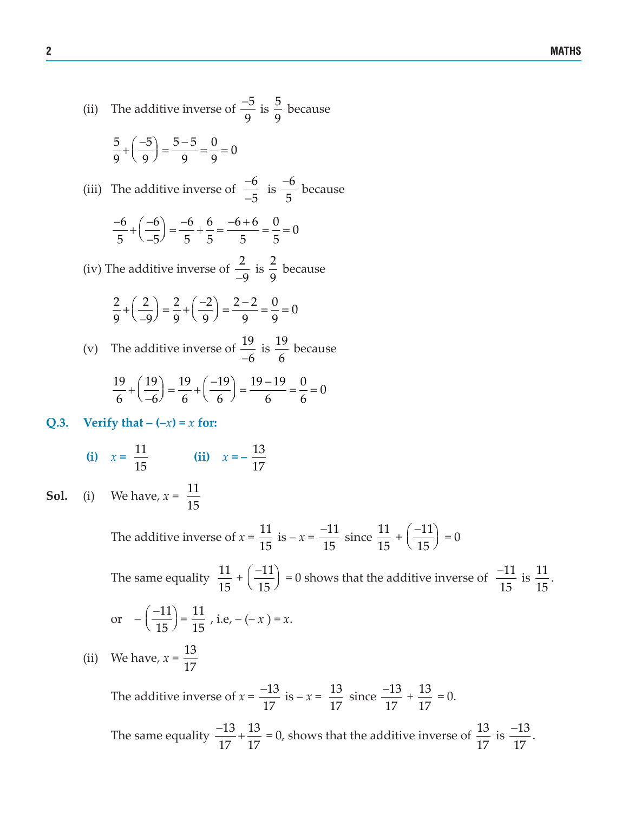(ii) The additive inverse of 
$$
\frac{-5}{9}
$$
 is  $\frac{5}{9}$  because  
\n $\frac{5}{9} + \left(\frac{-5}{9}\right) = \frac{5-5}{9} = \frac{0}{9} = 0$   
\n(iii) The additive inverse of  $\frac{-6}{-5}$  is  $\frac{-6}{5}$  because  
\n $\frac{-6}{5} + \left(\frac{-6}{-5}\right) = \frac{-6}{5} + \frac{6}{5} = \frac{-6+6}{5} = \frac{0}{5} = 0$   
\n(iv) The additive inverse of  $\frac{2}{-9}$  is  $\frac{2}{9}$  because  
\n $\frac{2}{9} + \left(\frac{2}{-9}\right) = \frac{2}{9} + \left(\frac{-2}{9}\right) = \frac{2-2}{9} = \frac{0}{9} = 0$   
\n(v) The additive inverse of  $\frac{19}{-6}$  is  $\frac{19}{6}$  because

$$
\frac{19}{6} + \left(\frac{19}{-6}\right) = \frac{19}{6} + \left(\frac{-19}{6}\right) = \frac{19 - 19}{6} = \frac{0}{6} = 0
$$

17 17

## **Q.3.** Verify **that**  $-(-x) = x$  **for:**

(i) 
$$
x = \frac{11}{15}
$$
 (ii)  $x = -\frac{13}{17}$ 

**Sol.** (i) We have,  $x = \frac{11}{15}$ 15

> The additive inverse of  $x = \frac{11}{15}$ 15  $iS - x = \frac{-11}{15}$ 15  $\frac{-11}{15}$  since  $\frac{11}{15}$ 15  $+\left(\frac{-11}{15}\right)$ 15  $(-11)$  $\left(\frac{11}{15}\right) = 0$ The same equality  $\frac{11}{15}$ 15  $+\left(\frac{-11}{15}\right)$ 15  $\left(\frac{-11}{15}\right)$  = 0 shows that the additive inverse of  $\frac{-11}{15}$  $\frac{-11}{15}$  is  $\frac{11}{15}$  $\frac{11}{15}$ . or  $-\left(\frac{-11}{15}\right)$ 15  $(-11)$  $\left(\frac{-11}{15}\right) = \frac{11}{15}$ , i.e, - (- *x*) = *x*. (ii) We have,  $x = \frac{13}{17}$ 17 The additive inverse of  $x = \frac{-13}{15}$ 17  $\frac{-13}{15}$  is –  $x = \frac{13}{15}$ 17 since  $\frac{-13}{15}$ 17  $\frac{-13}{15} + \frac{13}{15}$ 17  $= 0.$ The same equality  $\frac{-13}{15} + \frac{13}{15}$  $\frac{-13}{15} + \frac{13}{15} = 0$ , shows that the additive inverse of  $\frac{13}{15}$ is  $\frac{-13}{15}$  $\frac{-13}{15}$ .

17

17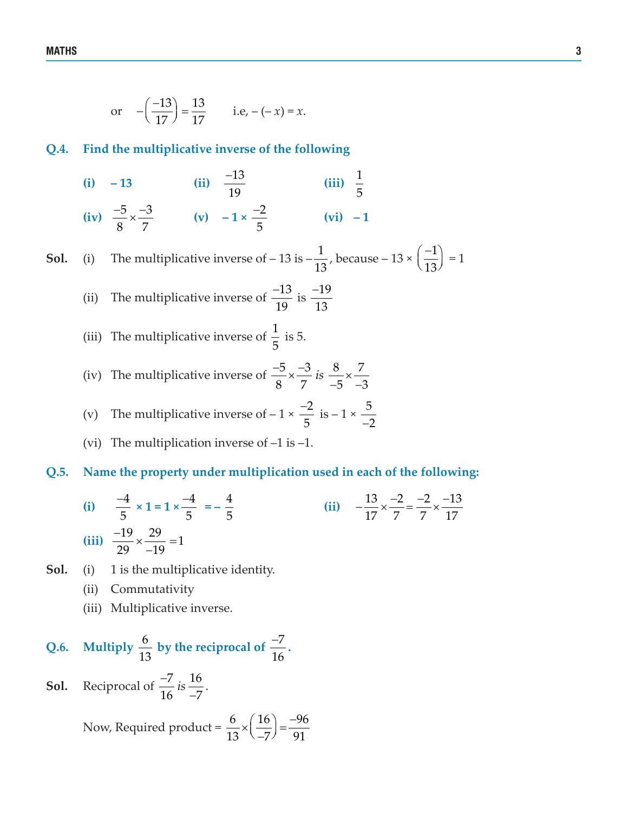or 
$$
-(\frac{-13}{17}) = \frac{13}{17}
$$
 i.e,  $-(-x) = x$ .

#### **Q.4. Find the multiplicative inverse of the following**

(i) -13 (ii) 
$$
\frac{-13}{19}
$$
 (iii)  $\frac{1}{5}$   
(iv)  $\frac{-5}{8} \times \frac{-3}{7}$  (v)  $-1 \times \frac{-2}{5}$  (vi) -1

**Sol.** (i) The multiplicative inverse of  $-13$  is  $-\frac{1}{13}$ , because  $-13 \times \left(\frac{-1}{13}\right)$  $(-1)$  $\left(\frac{1}{13}\right) = 1$ 

(ii) The multiplicative inverse of 
$$
\frac{-13}{19}
$$
 is  $\frac{-19}{13}$ 

(iii) The multiplicative inverse of 
$$
\frac{1}{5}
$$
 is 5.

(iv) The multiplicative inverse of 
$$
\frac{-5}{8} \times \frac{-3}{7}
$$
 is  $\frac{8}{-5} \times \frac{7}{-3}$ 

(v) The multiplicative inverse of 
$$
-1 \times \frac{-2}{5}
$$
 is  $-1 \times \frac{5}{-2}$ 

(vi) The multiplication inverse of  $-1$  is  $-1$ .

#### **Q.5. Name the property under multiplication used in each of the following:**

(i) 
$$
\frac{-4}{5} \times 1 = 1 \times \frac{-4}{5} = -\frac{4}{5}
$$
  
\n(ii)  $-\frac{13}{17} \times \frac{-2}{7} = \frac{-2}{7} \times \frac{-13}{17}$   
\n(iii)  $\frac{-19}{29} \times \frac{29}{-19} = 1$ 

- **Sol.** (i) 1 is the multiplicative identity.
	- (ii) Commutativity
	- (iii) Multiplicative inverse.

Q.6. Multiply 
$$
\frac{6}{13}
$$
 by the reciprocal of  $\frac{-7}{16}$ .  
**Sol.** Reciprocal of  $\frac{-7}{16}$  is  $\frac{16}{-7}$ .

Now, Required product =  $\frac{6}{10} \times \left(\frac{16}{5}\right) = \frac{-96}{24}$  $\frac{6}{13} \times \left(\frac{16}{-7}\right) = \frac{-96}{91}$ 

 $16 - 7$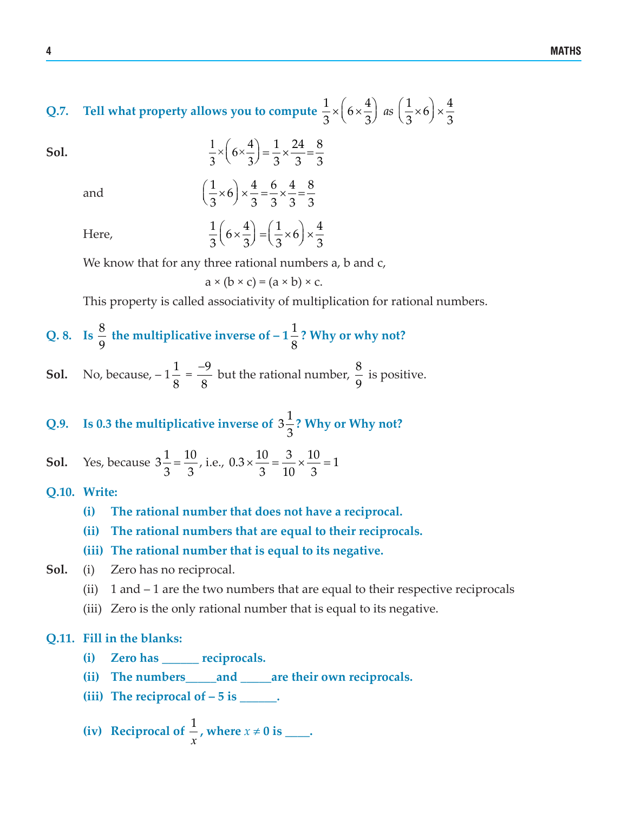**Q.7.** Tell what property allows you to compute  $\frac{1}{2} \times (6 \times \frac{4}{2})$  as  $(\frac{1}{2} \times 6) \times \frac{4}{2}$  $\frac{1}{3}$   $\times$   $\left(6 \times \frac{4}{3}\right)$  as  $\left(\frac{1}{3} \times 6\right) \times \frac{4}{3}$ 

**Sol.** 
$$
\frac{1}{3} \times \left(6 \times \frac{4}{3}\right) = \frac{1}{3} \times \frac{24}{3} = \frac{8}{3}
$$

and 
$$
\left(\frac{1}{3} \times 6\right) \times \frac{4}{3} = \frac{6}{3} \times \frac{4}{3} = \frac{8}{3}
$$

Here,  $\frac{1}{2} \left( 6 \times \frac{4}{2} \right) = \left( \frac{1}{2} \times 6 \right) \times \frac{4}{2}$  $\frac{1}{3}\left(6 \times \frac{4}{3}\right) = \left(\frac{1}{3} \times 6\right) \times \frac{4}{3}$ 

We know that for any three rational numbers a, b and c,

 $a \times (b \times c) = (a \times b) \times c$ .

This property is called associativity of multiplication for rational numbers.

Q. 8. Is 
$$
\frac{8}{9}
$$
 the multiplicative inverse of  $-1\frac{1}{8}$ ? Why or why not?

**Sol.** No, because,  $-1\frac{1}{2}$ 8  $=\frac{-9}{2}$ 8  $\frac{-9}{2}$  but the rational number,  $\frac{8}{3}$  $\frac{6}{9}$  is positive.

**Q.9.** Is 0.3 the multiplicative inverse of  $3\frac{1}{2}$ 3 **? Why or Why not?**

**Sol.** Yes, because  $3\frac{1}{3} = \frac{10}{3}$ , i.e.,  $0.3 \times \frac{10}{3} = \frac{3}{10} \times \frac{10}{3} = 1$  $x \frac{10}{2} = \frac{0}{18} x \frac{10}{2} =$ 

#### **Q.10. Write:**

- **(i) The rational number that does not have a reciprocal.**
- **(ii) The rational numbers that are equal to their reciprocals.**
- **(iii) The rational number that is equal to its negative.**
- **Sol.** (i) Zero has no reciprocal.
	- (ii) 1 and 1 are the two numbers that are equal to their respective reciprocals
	- (iii) Zero is the only rational number that is equal to its negative.

#### **Q.11. Fill in the blanks:**

- **(i) Zero has \_\_\_\_\_\_ reciprocals.**
- **(ii) The numbers\_\_\_\_\_and \_\_\_\_\_are their own reciprocals.**
- (iii) The **reciprocal** of  $-5$  **is** \_\_\_\_\_.

(iv) Reciprocal of 
$$
\frac{1}{x}
$$
, where  $x \neq 0$  is \_\_\_\_\_\_.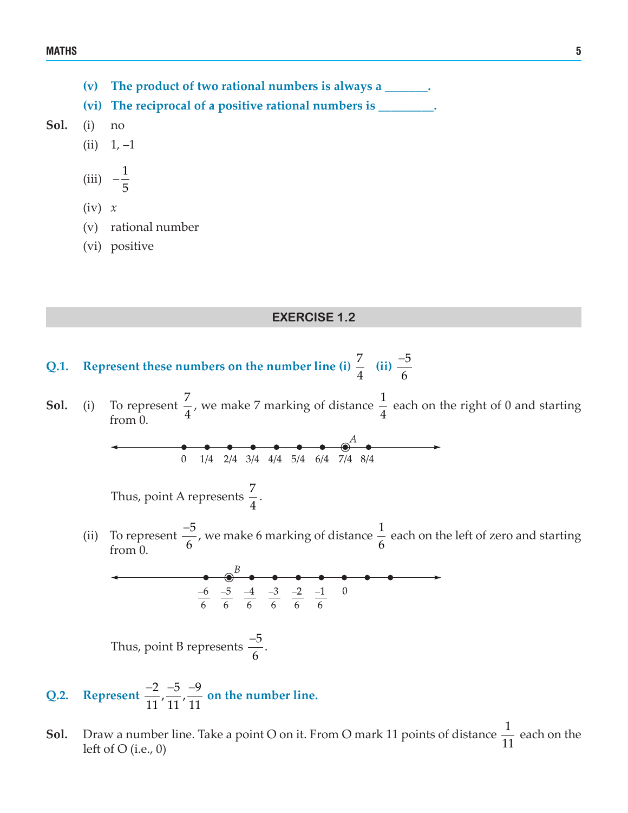- **(v) The product of two rational numbers is always a \_\_\_\_\_\_\_.**
- **(vi) The reciprocal of a positive rational numbers is \_\_\_\_\_\_\_\_\_.**
- **Sol.** (i) no
	- $(ii) 1, -1$

$$
(iii) \quad -\frac{1}{5}
$$

- (iv) *x*
- (v) rational number
- (vi) positive

#### **EXERCISE 1.2**

- Q.1. Represent these numbers on the number line (i)  $\frac{7}{4}$  (ii)  $\frac{-5}{6}$ −
- **Sol.** (i) To represent  $\frac{7}{4}$ , we make 7 marking of distance  $\frac{1}{4}$  each on the right of 0 and starting from 0 from 0.

$$
0 \t 1/4 \t 2/4 \t 3/4 \t 4/4 \t 5/4 \t 6/4 \t 7/4 \t 8/4
$$

Thus, point A represents  $\frac{7}{4}$ .

(ii) To represent  $\frac{-5}{4}$ 6  $\frac{-5}{\epsilon}$ , we make 6 marking of distance  $\frac{1}{\epsilon}$ 6 each on the left of zero and starting from 0.

Thus, point B represents  $\frac{-5}{4}$ 6  $\frac{-5}{5}$ .

- Q.2. Represent  $\frac{-2}{11}$ ,  $\frac{-5}{11}$ ,  $\frac{-9}{11}$  on the number line.
- **Sol.** Draw a number line. Take a point O on it. From O mark 11 points of distance  $\frac{1}{\epsilon}$ 11 each on the left of  $O$  (i.e., 0)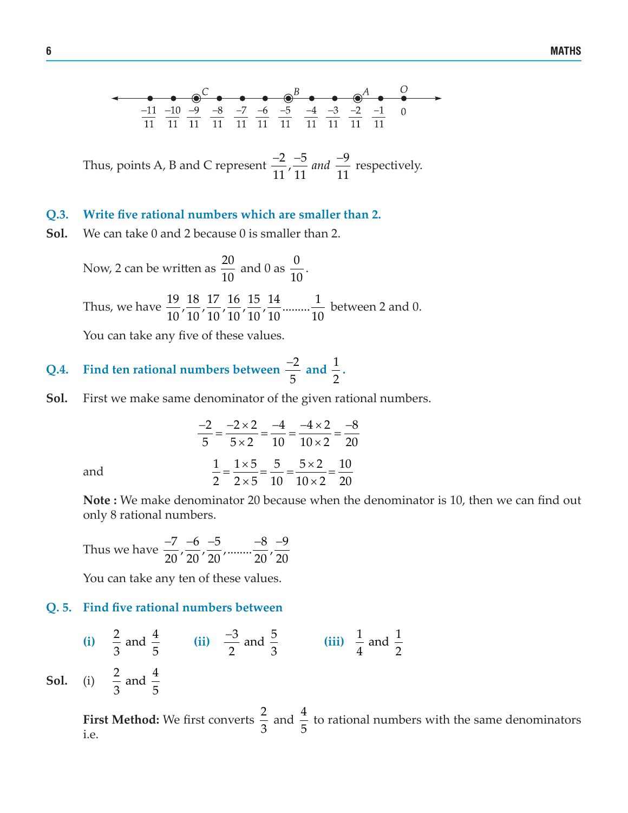Thus, points A, B and C represent  $\frac{-2}{11}$ ,  $\frac{-5}{11}$  *and*  $\frac{-9}{11}$  respectively.

#### **Q.3. Write five rational numbers which are smaller than 2.**

**Sol.** We can take 0 and 2 because 0 is smaller than 2.

Now, 2 can be written as  $\frac{20}{10}$ 10 and 0 as  $\frac{0}{10}$ .

Thus, we have  $\frac{19}{10}$ ,  $\frac{18}{10}$ ,  $\frac{17}{10}$ ,  $\frac{16}{10}$ ,  $\frac{15}{10}$ ,  $\frac{14}{10}$  .........  $\frac{1}{10}$  between 2 and 0.

You can take any five of these values.

#### **Q.4.** Find ten rational numbers between  $\frac{-2}{\epsilon}$ 5  $\frac{-2}{\pi}$  and  $\frac{1}{2}$  $\frac{1}{2}$ .

**Sol.** First we make same denominator of the given rational numbers.

and  

$$
\frac{-2}{5} = \frac{-2 \times 2}{5 \times 2} = \frac{-4}{10} = \frac{-4 \times 2}{10 \times 2} = \frac{-8}{20}
$$

$$
\frac{1}{2} = \frac{1 \times 5}{2 \times 5} = \frac{5}{10} = \frac{5 \times 2}{10 \times 2} = \frac{10}{20}
$$

**Note :** We make denominator 20 because when the denominator is 10, then we can find out only 8 rational numbers.

Thus we have 
$$
\frac{-7}{20}, \frac{-6}{20}, \frac{-5}{20}, \dots, \frac{-8}{20}, \frac{-9}{20}
$$

You can take any ten of these values.

#### **Q. 5. Find five rational numbers between**

(i) 
$$
\frac{2}{3}
$$
 and  $\frac{4}{5}$  (ii)  $\frac{-3}{2}$  and  $\frac{5}{3}$  (iii)  $\frac{1}{4}$  and  $\frac{1}{2}$   
\nSol. (i)  $\frac{2}{3}$  and  $\frac{4}{5}$ 

**First Method:** We first converts  $\frac{2}{3}$ 3 and  $\frac{4}{5}$ 5 to rational numbers with the same denominators i.e.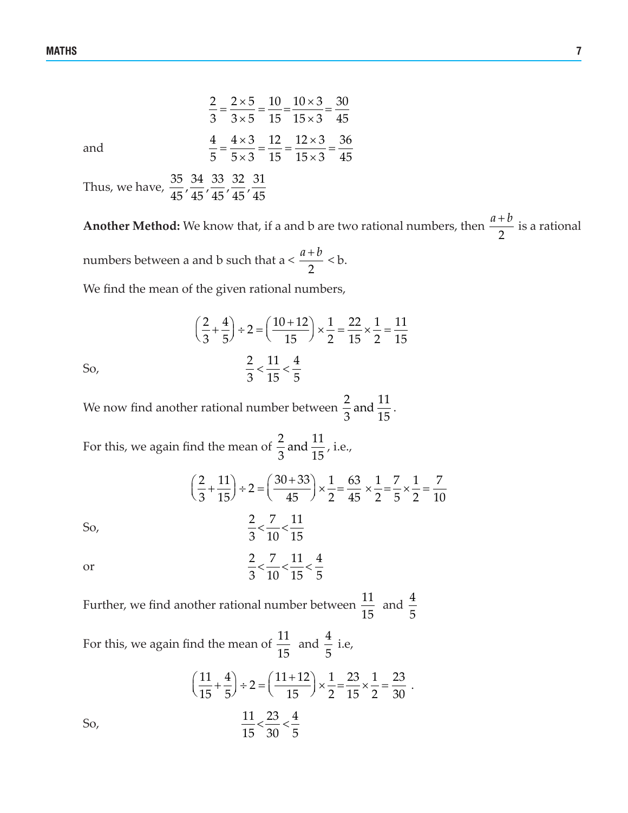$2 \times 5 \quad 10 \quad 10 \times 3 \quad 30$  $\frac{2}{3} = \frac{2 \times 5}{3 \times 5} = \frac{10}{15} = \frac{10 \times 3}{15 \times 3} = \frac{30}{45}$ and  $\frac{4}{5} = \frac{4 \times 3}{5 \times 2} = \frac{12}{15} = \frac{12 \times 3}{15 \times 2} = \frac{36}{15}$  $\frac{4}{5} = \frac{4 \times 3}{5 \times 3} = \frac{12}{15} = \frac{12 \times 3}{15 \times 3} = \frac{36}{45}$ 

Thus, we have,  $\frac{35}{45}$ ,  $\frac{34}{45}$ ,  $\frac{33}{45}$ ,  $\frac{32}{45}$ ,  $\frac{31}{45}$ 

**Another Method:** We know that, if a and b are two rational numbers, then  $\frac{x}{2}$  $\frac{a+b}{2}$  is a rational numbers between a and b such that a <  $\frac{a+b}{2}$  < b.

2

We find the mean of the given rational numbers,

So,  

$$
\left(\frac{2}{3} + \frac{4}{5}\right) \div 2 = \left(\frac{10 + 12}{15}\right) \times \frac{1}{2} = \frac{22}{15} \times \frac{1}{2} = \frac{11}{15}
$$
  
So,  

$$
\frac{2}{3} < \frac{11}{15} < \frac{4}{5}
$$

We now find another rational number between  $\frac{2}{3}$  and  $\frac{11}{15}$ .

For this, we again find the mean of  $\frac{2}{3}$  and  $\frac{11}{15}$ , i.e.,  $\left(\frac{2}{2} + \frac{11}{15}\right) \div 2 = \left(\frac{30 + 33}{15}\right) \times \frac{1}{2} = \frac{63}{15} \times \frac{1}{2} = \frac{7}{15} \times \frac{1}{2} = \frac{7}{15}$  $\left(\frac{2}{3} + \frac{11}{15}\right) \div 2 = \left(\frac{30 + 33}{45}\right) \times \frac{1}{2} = \frac{63}{45} \times \frac{1}{2} = \frac{7}{5} \times \frac{1}{2} = \frac{7}{10}$ So,  $\frac{2}{3} < \frac{7}{12} < \frac{11}{12}$ 3 10 15  $\lt$ or  $\frac{2}{3} < \frac{7}{10} < \frac{11}{20} < \frac{4}{5}$  $\leq$   $\frac{1}{10}$   $\lt$   $\frac{11}{10}$   $\lt$ 

Further, we find another rational number between  $\frac{11}{15}$ 15 and  $\frac{4}{5}$ 5

3 10 15 5

For this, we again find the mean of  $\frac{11}{15}$ 15 and  $\frac{4}{5}$  i.e,

So,  

$$
\left(\frac{11}{15} + \frac{4}{5}\right) \div 2 = \left(\frac{11 + 12}{15}\right) \times \frac{1}{2} = \frac{23}{15} \times \frac{1}{2} = \frac{23}{30}.
$$
  
So,  

$$
\frac{11}{15} < \frac{23}{30} < \frac{4}{5}
$$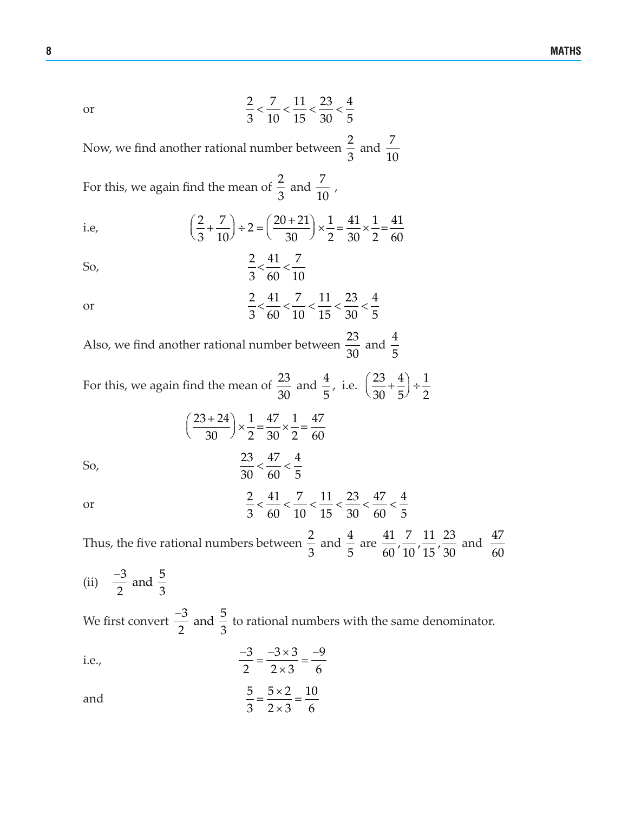or 
$$
\frac{2}{3} < \frac{7}{10} < \frac{11}{15} < \frac{23}{30} < \frac{4}{5}
$$

Now, we find another rational number between  $\frac{2}{3}$ 3 and  $\frac{7}{4}$ 10

For this, we again find the mean of  $\frac{2}{3}$ 3 and  $\frac{7}{10}$ ,

i.e, 
$$
\left(\frac{2}{3} + \frac{7}{10}\right) \div 2 = \left(\frac{20 + 21}{30}\right) \times \frac{1}{2} = \frac{41}{30} \times \frac{1}{2} = \frac{41}{60}
$$

So, 
$$
\frac{2}{3} < \frac{41}{60} < \frac{7}{10}
$$

or 
$$
\frac{2}{3} < \frac{41}{60} < \frac{7}{10} < \frac{11}{15} < \frac{23}{30} < \frac{4}{5}
$$

Also, we find another rational number between  $\frac{23}{20}$ 30 and  $\frac{4}{5}$ 5

For this, we again find the mean of  $\frac{23}{20}$ 30 and  $\frac{4}{5}$ 5 , i.e.  $\left(\frac{23}{20} + \frac{4}{5}\right) \div \frac{1}{2}$  $\left(\frac{23}{30} + \frac{4}{5}\right) \div \frac{1}{2}$ 

So,  
\n
$$
\left(\frac{23+24}{30}\right) \times \frac{1}{2} = \frac{47}{30} \times \frac{1}{2} = \frac{47}{60}
$$
\nSo,  
\n
$$
\frac{23}{30} < \frac{47}{60} < \frac{4}{5}
$$
\nor  
\n
$$
\frac{2}{3} < \frac{41}{60} < \frac{7}{40} < \frac{11}{45} < \frac{23}{20} < \frac{47}{60} < \frac{4}{5}
$$

Thus, the five rational numbers between  $\frac{2}{3}$ 3 and  $\frac{4}{5}$ 5 are  $\frac{41}{60}, \frac{7}{10}, \frac{11}{15}, \frac{23}{30}$  and  $\frac{47}{60}$ 60

3 60 10 15 30 60 5

(ii)  $\frac{-3}{2}$  and  $\frac{5}{2}$ 2  $\sim$  3 −

We first convert  $\frac{-3}{2}$  and  $\frac{5}{3}$ 2 3  $\frac{-3}{2}$  and  $\frac{5}{2}$  to rational numbers with the same denominator.

i.e., 
$$
\frac{-3}{2} = \frac{-3 \times 3}{2 \times 3} = \frac{-9}{6}
$$

and 
$$
\frac{5}{3} = \frac{5 \times 2}{2 \times 3} = \frac{10}{6}
$$